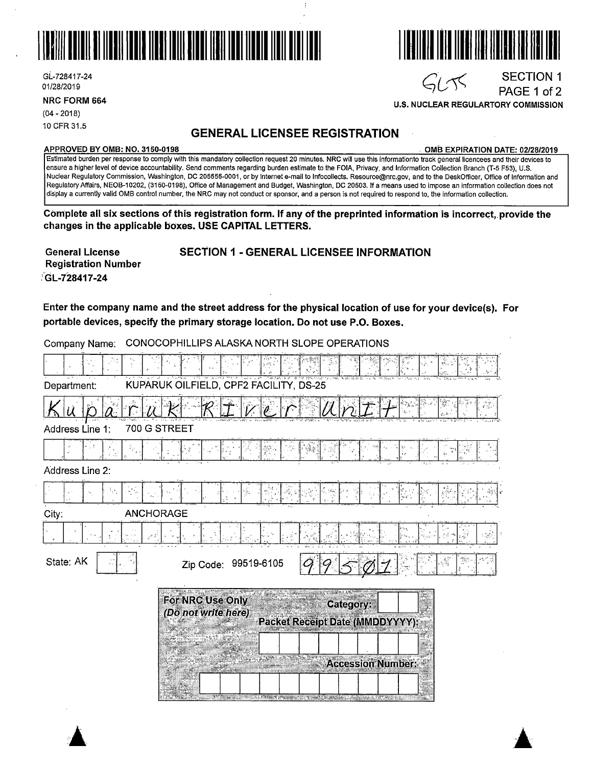

Gl-728417-24 01/28/2019

**U.S. NUCLEAR REGULARTORY COMMISSION** 

(04 - 2018) 10CFR31.5

## **GENERAL LICENSEE REGISTRATION**

### **APPROVED BY 0MB: NO. 3150-0198** . **0MB EXPIRATION DATE: 02/28/2019**

SECTION 1 PAGE 1 of 2

Estimated burden per response to comply with this mandatory collection request 20 minutes. NRC will use this informationto track general licencees and their devices to ensure a higher level of device accountability. Send comments regarding burden estimate to the FOIA, Privacy, and Information Collection Branch (T-5 F53), U.S. Nuclear Regulatory Commission, Washington, DC 205555-0001, or by internet e-mail to lnfocollects. Resource@nrc.gov, and to the DeskOfficer, Office of Information and Regulatory Affairs, NEOB-10202, (3150-0198), Office of Management and Budget, Washington, DC 20503. If a means used to impose an information collection does not display a currently valid 0MB control number, the NRC may not conduct or sponsor, and a person is not required to respond to, the information collection.

**Complete all six sections of this registration form. If any of the preprinted information is incorrect, provide the changes in the applicable boxes. USE CAPITAL LETTERS.** 

**General License Registration Number .'-GL-728417-24** 

# **SECTION 1** - **GENERAL LICENSEE INFORMATION**

**Enter the company name and the street address for the physical location of use for your device(s). For portable devices, specify the primary storage location. Do not use P.O. Boxes.** 

| Company Name:   | CONOCOPHILLIPS ALASKA NORTH SLOPE OPERATIONS                                                                                                                                                                                                                |
|-----------------|-------------------------------------------------------------------------------------------------------------------------------------------------------------------------------------------------------------------------------------------------------------|
|                 |                                                                                                                                                                                                                                                             |
| Department:     | KUPARUK OILFIELD, CPF2 FACILITY, DS-25                                                                                                                                                                                                                      |
|                 |                                                                                                                                                                                                                                                             |
| Address Line 1: | 700 G STREET                                                                                                                                                                                                                                                |
|                 |                                                                                                                                                                                                                                                             |
| Address Line 2: |                                                                                                                                                                                                                                                             |
|                 |                                                                                                                                                                                                                                                             |
| City:           | <b>ANCHORAGE</b>                                                                                                                                                                                                                                            |
|                 | ್ರಿ                                                                                                                                                                                                                                                         |
| State: AK       | engen<br>1997<br>Zip Code: 99519-6105                                                                                                                                                                                                                       |
|                 | For NRC Use Only<br><b>Category:</b><br>(Do not write here)<br><b>Packet Receipt Date (MMDDYYYY):</b><br><b>Accession Number:</b><br><b>The Company's Company's Company's Company's Company's Company's Company's Company's Company's Company's Company</b> |





 $G_L$ TS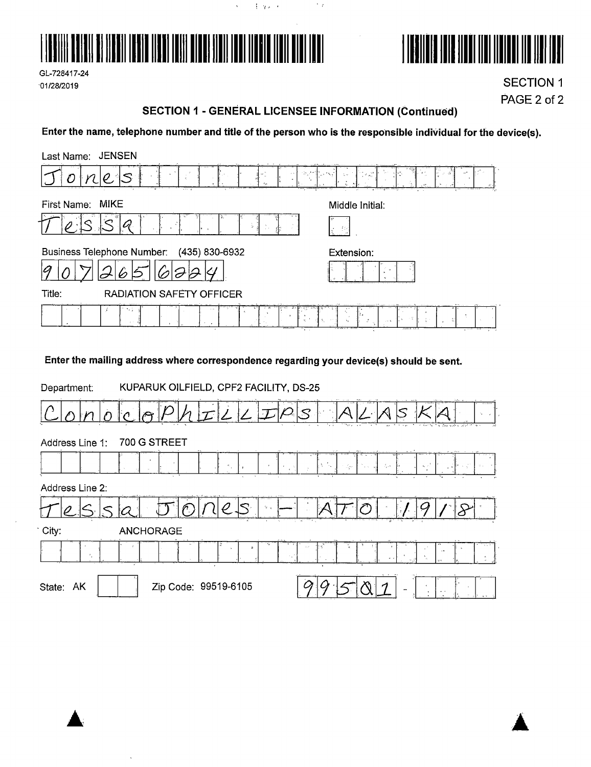

 $\mathcal{L}^{\pm}$ 

(手) 单元



GL-728417-24 01/28/2019

**SECTION 1** PAGE 2 of 2

### **SECTION 1 - GENERAL LICENSEE INFORMATION (Continued)**

 $\gamma_{\rm eff}$ 

Enter the name, telephone number and title of the person who is the responsible individual for the device(s).

| Last Name: JENSEN                           |                                                                                                                      |
|---------------------------------------------|----------------------------------------------------------------------------------------------------------------------|
| -10,<br>2.3<br>⊂<br>e stingers.<br>2.11     | $\mathcal{F}=\frac{\partial \mathcal{F}}{\partial \mathcal{G}}$<br>$\mathcal{F}(\mathbf{v}_{\mathbf{y},\mathbf{w}})$ |
| MIKE<br>First Name:                         | Middle Initial:                                                                                                      |
| C).<br>÷.                                   | ge Br                                                                                                                |
| Business Telephone Number: (435) 830-6932   | Extension:                                                                                                           |
| Ø                                           |                                                                                                                      |
| Title:<br><b>RADIATION SAFETY OFFICER</b>   |                                                                                                                      |
| 問題<br>NG.<br>$\rightarrow$<br>×,<br>$1 - 1$ | $\sim 7$<br>空间<br>$\cdots$ . 21                                                                                      |

Enter the mailing address where correspondence regarding your device(s) should be sent.

| Department:         | KUPARUK OILFIELD, CPF2 FACILITY, DS-25                                                                                                           |
|---------------------|--------------------------------------------------------------------------------------------------------------------------------------------------|
|                     | $\Im$<br>Territori<br>22000                                                                                                                      |
| Address Line 1:     | 700 G STREET                                                                                                                                     |
|                     | js N<br>$\mathbf{x}_i \sim^k$<br>Apr<br>$\mathcal{L}_\mu$ , $\epsilon$<br>$\epsilon_{\perp}$<br>A.<br>$\mathbf{v}$<br>$\mathcal{H}^{\pm}$<br>`∦. |
| Address Line 2:     |                                                                                                                                                  |
|                     | $\mathcal{U} \rightarrow \mathcal{U}$                                                                                                            |
| City:               | <b>ANCHORAGE</b>                                                                                                                                 |
| $\bullet$<br>$\sim$ | $\mathcal{V}^{\mathcal{A}}_{\mathcal{A}}$<br>$\mathfrak{p}$<br>- 64<br>$\mathbf{r}_\mathrm{c}$<br>$\frac{\pi}{4}$                                |
| AK<br>State:        | Zip Code: 99519-6105<br>$\overline{\phantom{a}}$<br>$\sim$ $\sim$                                                                                |

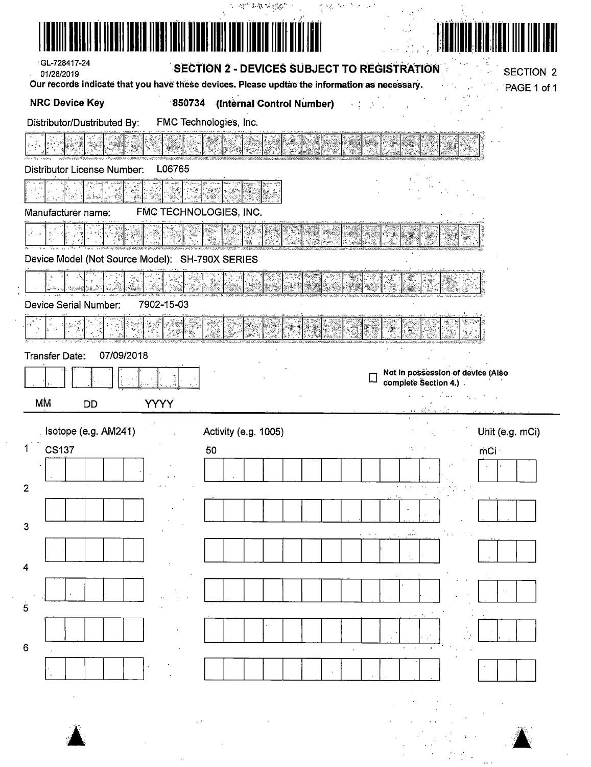| GL-728417-24                                                                      |             | SECTION 2 - DEVICES SUBJECT TO REGISTRATION                                                   |                               |                                   |
|-----------------------------------------------------------------------------------|-------------|-----------------------------------------------------------------------------------------------|-------------------------------|-----------------------------------|
| 01/28/2019                                                                        |             | Our records indicate that you have these devices. Please updtae the information as necessary. |                               | <b>SECTION 2</b><br>PAGE 1 of 1   |
| <b>NRC Device Key</b>                                                             |             | 850734 (Internal Control Number)                                                              |                               |                                   |
| Distributor/Dustributed By:                                                       |             | FMC Technologies, Inc.                                                                        |                               |                                   |
|                                                                                   |             |                                                                                               |                               |                                   |
| Distributor License Number:                                                       | L06765      |                                                                                               |                               |                                   |
|                                                                                   |             |                                                                                               |                               |                                   |
| Manufacturer name:                                                                |             | FMC TECHNOLOGIES, INC.                                                                        |                               |                                   |
|                                                                                   |             |                                                                                               |                               |                                   |
| Device Model (Not Source Model): SH-790X SERIES                                   |             |                                                                                               |                               |                                   |
|                                                                                   |             |                                                                                               |                               |                                   |
| Device Serial Number:                                                             | 7902-15-03  |                                                                                               |                               |                                   |
|                                                                                   |             |                                                                                               |                               |                                   |
|                                                                                   |             |                                                                                               |                               |                                   |
| Transfer Date:                                                                    | 07/09/2018  |                                                                                               |                               |                                   |
|                                                                                   |             |                                                                                               |                               |                                   |
|                                                                                   |             |                                                                                               | ╙<br>complete Section 4.)     | Not in possession of device (Also |
| МŃ<br><b>DD</b>                                                                   | <b>YYYY</b> |                                                                                               | and Schule and                | الراوحات الحجائم                  |
| Isotope (e.g. AM241)                                                              |             | Activity (e.g. 1005)                                                                          | $\mathbf{Q}_1 = \mathbf{Q}_2$ |                                   |
| <b>CS137</b>                                                                      |             | 50                                                                                            |                               | mCi ·                             |
| 1                                                                                 |             |                                                                                               |                               | Unit (e.g. mCi)                   |
|                                                                                   |             |                                                                                               |                               |                                   |
|                                                                                   |             |                                                                                               |                               |                                   |
|                                                                                   |             |                                                                                               |                               |                                   |
|                                                                                   |             |                                                                                               |                               |                                   |
|                                                                                   |             |                                                                                               |                               |                                   |
|                                                                                   |             |                                                                                               |                               |                                   |
|                                                                                   |             |                                                                                               |                               |                                   |
|                                                                                   |             |                                                                                               |                               |                                   |
|                                                                                   |             |                                                                                               |                               |                                   |
| $\overline{2}$<br>$\mathbf{3}$<br>$\overline{4}$<br>$\overline{5}$<br>$\mathbf 6$ |             |                                                                                               |                               |                                   |
|                                                                                   |             |                                                                                               |                               |                                   |
|                                                                                   |             |                                                                                               |                               |                                   |

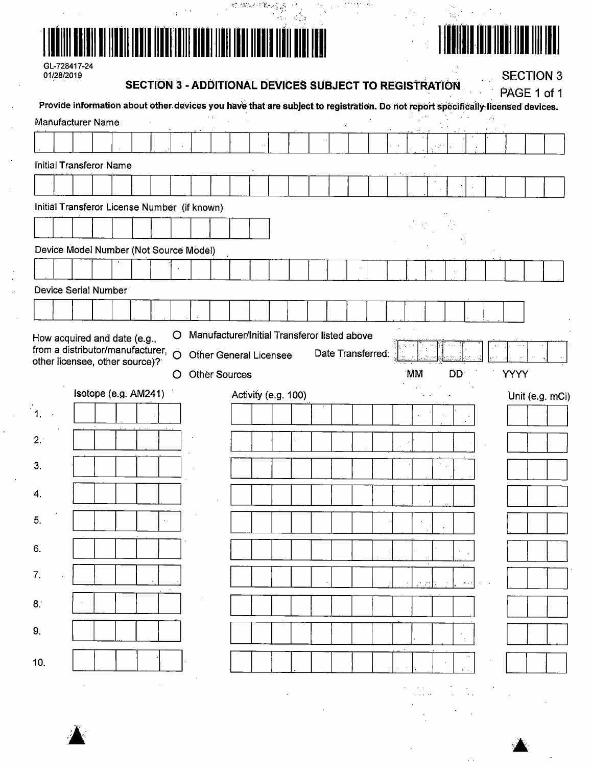|  | a sa sa na sa sa kating ayya sa sa s<br>3월 13일<br>대학 대학 |  |
|--|---------------------------------------------------------|--|
|  |                                                         |  |

# 

 $\frac{1}{2}$ 

 $\frac{1}{2}$ 

| 01/28/2019 | $GL-128411-24$                                                                                                                  |                      |  |             | <b>SECTION 3 - ADDITIONAL DEVICES SUBJECT TO REGISTRATION.</b>                                        |                     |  |  |                   |  |           |        |            |    |                         |            |             | <b>SECTION 3</b> |
|------------|---------------------------------------------------------------------------------------------------------------------------------|----------------------|--|-------------|-------------------------------------------------------------------------------------------------------|---------------------|--|--|-------------------|--|-----------|--------|------------|----|-------------------------|------------|-------------|------------------|
|            | Provide information about other devices you have that are subject to registration. Do not report specifically licensed devices. |                      |  |             |                                                                                                       |                     |  |  |                   |  |           |        |            |    |                         |            |             | PAGE 1 of 1      |
|            | Manufacturer Name                                                                                                               |                      |  |             |                                                                                                       |                     |  |  |                   |  |           |        |            |    |                         |            |             |                  |
|            |                                                                                                                                 |                      |  |             |                                                                                                       |                     |  |  |                   |  |           |        |            |    |                         |            |             |                  |
|            | Initial Transferor Name                                                                                                         |                      |  |             |                                                                                                       |                     |  |  |                   |  |           |        |            |    |                         |            |             |                  |
|            |                                                                                                                                 |                      |  |             |                                                                                                       |                     |  |  |                   |  |           |        |            |    |                         |            |             |                  |
|            | Initial Transferor License Number (if known)                                                                                    |                      |  |             |                                                                                                       |                     |  |  |                   |  |           |        |            |    |                         |            |             |                  |
|            |                                                                                                                                 |                      |  |             |                                                                                                       |                     |  |  |                   |  |           |        |            |    |                         |            |             |                  |
|            | Device Model Number (Not Source Model)                                                                                          |                      |  |             |                                                                                                       |                     |  |  |                   |  |           |        |            |    |                         |            |             |                  |
|            |                                                                                                                                 |                      |  |             |                                                                                                       |                     |  |  |                   |  |           |        |            |    |                         |            |             |                  |
|            | <b>Device Serial Number</b>                                                                                                     |                      |  |             |                                                                                                       |                     |  |  |                   |  |           |        |            |    |                         |            |             |                  |
|            |                                                                                                                                 |                      |  |             |                                                                                                       |                     |  |  |                   |  |           |        |            |    |                         |            |             |                  |
|            | How acquired and date (e.g.,<br>from a distributor/manufacturer,<br>other licensee, other source)?                              |                      |  | O<br>Ö<br>O | Manufacturer/Initial Transferor listed above<br><b>Other General Licensee</b><br><b>Other Sources</b> |                     |  |  | Date Transferred: |  | <b>MM</b> |        |            | ĎD |                         |            | <b>YYYY</b> |                  |
|            |                                                                                                                                 | Isotope (e.g. AM241) |  |             |                                                                                                       | Activity (e.g. 100) |  |  |                   |  |           |        |            |    |                         |            |             | Unit (e.g. mCi)  |
| 1.         |                                                                                                                                 |                      |  |             |                                                                                                       |                     |  |  |                   |  |           |        |            |    |                         |            |             |                  |
| 2.1        |                                                                                                                                 |                      |  |             |                                                                                                       |                     |  |  |                   |  |           |        |            |    |                         |            |             |                  |
| 3.         |                                                                                                                                 |                      |  |             |                                                                                                       |                     |  |  |                   |  |           |        | $\epsilon$ |    |                         |            |             |                  |
|            |                                                                                                                                 |                      |  |             |                                                                                                       |                     |  |  |                   |  |           |        |            |    |                         |            |             |                  |
| 4.         |                                                                                                                                 |                      |  |             |                                                                                                       |                     |  |  |                   |  |           |        |            |    |                         |            |             |                  |
| 5.         |                                                                                                                                 |                      |  |             |                                                                                                       |                     |  |  |                   |  |           |        |            |    |                         |            |             |                  |
| б.         |                                                                                                                                 |                      |  |             |                                                                                                       |                     |  |  |                   |  |           |        |            |    |                         |            |             |                  |
| 7.         |                                                                                                                                 |                      |  |             |                                                                                                       |                     |  |  |                   |  |           |        |            |    |                         |            |             |                  |
|            |                                                                                                                                 |                      |  |             |                                                                                                       |                     |  |  |                   |  |           | in sti |            |    | $\sim 100$ km s $^{-1}$ |            |             |                  |
| 8.         |                                                                                                                                 |                      |  |             |                                                                                                       |                     |  |  |                   |  |           |        |            |    |                         |            |             |                  |
| 9.         |                                                                                                                                 |                      |  |             |                                                                                                       |                     |  |  |                   |  |           |        |            |    |                         |            |             |                  |
| 10.        |                                                                                                                                 |                      |  |             |                                                                                                       |                     |  |  |                   |  | $\sim$    |        |            |    |                         |            |             |                  |
|            |                                                                                                                                 |                      |  |             |                                                                                                       |                     |  |  |                   |  |           |        |            |    |                         |            |             |                  |
|            |                                                                                                                                 |                      |  |             |                                                                                                       |                     |  |  |                   |  |           | $\sim$ |            |    |                         | $\sim 100$ |             |                  |

-82



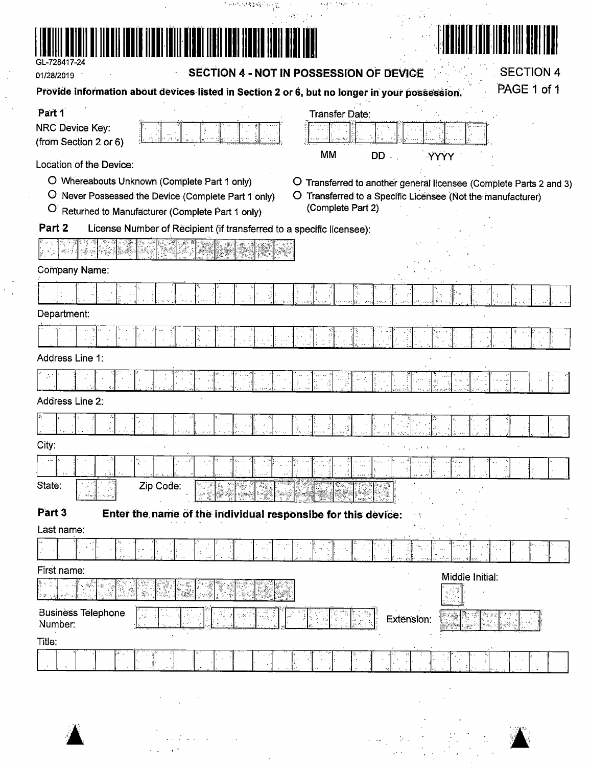| GL-728417-24                         |                                                                      |                                                                                               |                                 |
|--------------------------------------|----------------------------------------------------------------------|-----------------------------------------------------------------------------------------------|---------------------------------|
| 01/28/2019                           |                                                                      | SECTION 4 - NOT IN POSSESSION OF DEVICE                                                       | <b>SECTION 4</b><br>PAGE 1 of 1 |
|                                      |                                                                      | Provide information about devices listed in Section 2 or 6, but no longer in your possession. |                                 |
| Part 1<br>NRC Device Key:            |                                                                      | <b>Transfer Date:</b>                                                                         |                                 |
| (from Section 2 or 6)                |                                                                      |                                                                                               |                                 |
| Location of the Device:              |                                                                      | MM<br><b>DD</b><br>YYYY                                                                       |                                 |
|                                      | O Whereabouts Unknown (Complete Part 1 only)                         | O Transferred to another general licensee (Complete Parts 2 and 3)                            |                                 |
| $\circ$                              | Never Possessed the Device (Complete Part 1 only)                    | O Transferred to a Specific Licensee (Not the manufacturer)<br>(Complete Part 2)              |                                 |
| $\circ$<br>Part 2                    | Returned to Manufacturer (Complete Part 1 only)                      |                                                                                               |                                 |
|                                      | License Number of Recipient (if transferred to a specific licensee): |                                                                                               |                                 |
|                                      |                                                                      |                                                                                               |                                 |
| Company Name:                        |                                                                      |                                                                                               |                                 |
|                                      |                                                                      |                                                                                               |                                 |
| Department:                          |                                                                      |                                                                                               |                                 |
|                                      |                                                                      |                                                                                               |                                 |
| Address Line 1:                      |                                                                      |                                                                                               |                                 |
|                                      |                                                                      |                                                                                               |                                 |
| <b>Address Line 2:</b>               |                                                                      |                                                                                               |                                 |
|                                      |                                                                      |                                                                                               |                                 |
| City:                                |                                                                      |                                                                                               |                                 |
| $\ddot{\phantom{1}}$                 | $\ldots$ $e^{\gamma}$<br>ট্রো                                        |                                                                                               |                                 |
| State:                               | Zip Code:                                                            |                                                                                               |                                 |
|                                      | ૿ૺૢૺૺૺૢ<br>ૡૹૢૻૺૺૺૺૺૺૺૺૺૺૺ<br>ij.                                    |                                                                                               |                                 |
| Part 3<br>Last name:                 | Enter the name of the individual responsibe for this device:         |                                                                                               |                                 |
|                                      |                                                                      |                                                                                               |                                 |
| First name:                          |                                                                      |                                                                                               |                                 |
|                                      |                                                                      | Middle Initial:                                                                               |                                 |
| <b>Business Telephone</b><br>Number: | Иź                                                                   | Extension:                                                                                    |                                 |
| Title:                               |                                                                      |                                                                                               |                                 |

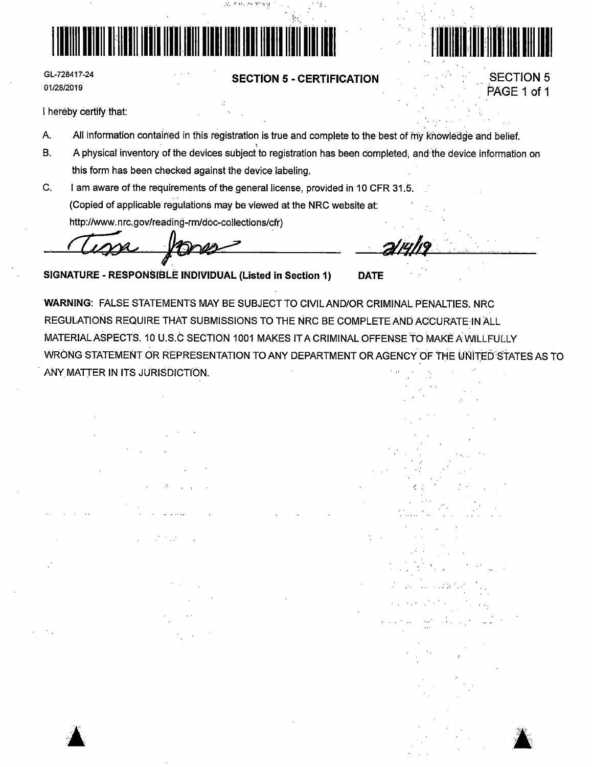

GL-728417-24 01/28/2019

### **SECTION 5 - CERTIFICATION**



**SECTION 5** 

PAGE 1 of 1

I hereby certify that:

- A. All information contained in this registration is true and complete to the best of my knowledge and belief.
- $B.$ A physical inventory of the devices subject to registration has been completed, and the device information on this form has been checked against the device labeling.
- C. I am aware of the requirements of the general license, provided in 10 CFR 31.5. (Copied of applicable regulations may be viewed at the NRC website at: http://www.nrc.gov/reading-rm/doc-collections/cfr)

 $\mathcal{Q}_\ell$  ,  $\mathcal{O}(\mathcal{O}_\ell)$  , and  $\mathcal{W} \cong \mathcal{W}$ 

SIGNATURE - RESPONSIBLE INDIVIDUAL (Listed in Section 1)

WARNING: FALSE STATEMENTS MAY BE SUBJECT TO CIVIL AND/OR CRIMINAL PENALTIES, NRC REGULATIONS REQUIRE THAT SUBMISSIONS TO THE NRC BE COMPLETE AND ACCURATE IN ALL MATERIAL ASPECTS. 10 U.S.C SECTION 1001 MAKES IT A CRIMINAL OFFENSE TO MAKE A WILLFULLY WRONG STATEMENT OR REPRESENTATION TO ANY DEPARTMENT OR AGENCY OF THE UNITED STATES AS TO ANY MATTER IN ITS JURISDICTION.

**DATE**